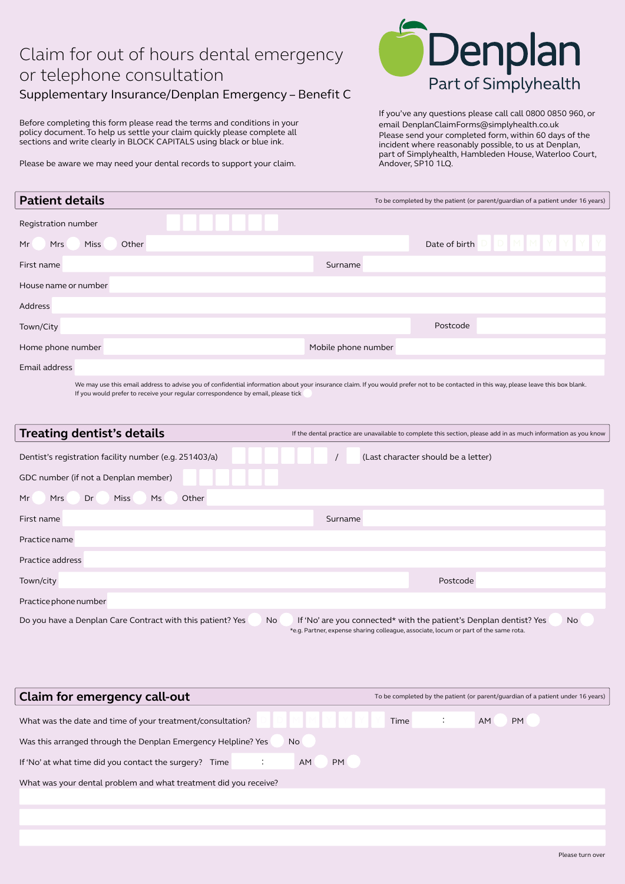## Claim for out of hours dental emergency or telephone consultation

Supplementary Insurance/Denplan Emergency – Benefit C

Before completing this form please read the terms and conditions in your policy document. To help us settle your claim quickly please complete all sections and write clearly in BLOCK CAPITALS using black or blue ink.

Please be aware we may need your dental records to support your claim.



If you've any questions please call call 0800 0850 960, or email DenplanClaimForms@simplyhealth.co.uk Please send your completed form, within 60 days of the incident where reasonably possible, to us at Denplan, part of Simplyhealth, Hambleden House, Waterloo Court, Andover, SP10 1LQ.

| <b>Patient details</b> |                                                                                                                                                                                                                                                                           |       |  |  |                     |  | To be completed by the patient (or parent/guardian of a patient under 16 years) |  |  |
|------------------------|---------------------------------------------------------------------------------------------------------------------------------------------------------------------------------------------------------------------------------------------------------------------------|-------|--|--|---------------------|--|---------------------------------------------------------------------------------|--|--|
| Registration number    |                                                                                                                                                                                                                                                                           |       |  |  |                     |  |                                                                                 |  |  |
| Mr<br>Mrs              | Miss                                                                                                                                                                                                                                                                      | Other |  |  |                     |  | Date of birth                                                                   |  |  |
| First name             |                                                                                                                                                                                                                                                                           |       |  |  | Surname             |  |                                                                                 |  |  |
| House name or number   |                                                                                                                                                                                                                                                                           |       |  |  |                     |  |                                                                                 |  |  |
| Address                |                                                                                                                                                                                                                                                                           |       |  |  |                     |  |                                                                                 |  |  |
| Town/City              |                                                                                                                                                                                                                                                                           |       |  |  |                     |  | Postcode                                                                        |  |  |
| Home phone number      |                                                                                                                                                                                                                                                                           |       |  |  | Mobile phone number |  |                                                                                 |  |  |
| Email address          |                                                                                                                                                                                                                                                                           |       |  |  |                     |  |                                                                                 |  |  |
|                        | We may use this email address to advise you of confidential information about your insurance claim. If you would prefer not to be contacted in this way, please leave this box blank.<br>If you would prefer to receive your regular correspondence by email, please tick |       |  |  |                     |  |                                                                                 |  |  |

| <b>Treating dentist's details</b>                                | If the dental practice are unavailable to complete this section, please add in as much information as you know                                                   |  |  |  |  |
|------------------------------------------------------------------|------------------------------------------------------------------------------------------------------------------------------------------------------------------|--|--|--|--|
| Dentist's registration facility number (e.g. 251403/a)           | (Last character should be a letter)                                                                                                                              |  |  |  |  |
| GDC number (if not a Denplan member)                             |                                                                                                                                                                  |  |  |  |  |
| Ms<br>Other<br>Mr<br><b>Mrs</b><br>Dr<br><b>Miss</b>             |                                                                                                                                                                  |  |  |  |  |
| First name                                                       | Surname                                                                                                                                                          |  |  |  |  |
| Practice name                                                    |                                                                                                                                                                  |  |  |  |  |
| Practice address                                                 |                                                                                                                                                                  |  |  |  |  |
| Town/city                                                        | Postcode                                                                                                                                                         |  |  |  |  |
| Practice phone number                                            |                                                                                                                                                                  |  |  |  |  |
| Do you have a Denplan Care Contract with this patient? Yes<br>No | If 'No' are you connected* with the patient's Denplan dentist? Yes<br>No<br>*e.g. Partner, expense sharing colleague, associate, locum or part of the same rota. |  |  |  |  |

| Claim for emergency call-out                                              | To be completed by the patient (or parent/quardian of a patient under 16 years) |  |  |  |  |  |  |  |
|---------------------------------------------------------------------------|---------------------------------------------------------------------------------|--|--|--|--|--|--|--|
| What was the date and time of your treatment/consultation?                | <b>PM</b><br>Time<br>AM.                                                        |  |  |  |  |  |  |  |
| Was this arranged through the Denplan Emergency Helpline? Yes<br>No       |                                                                                 |  |  |  |  |  |  |  |
| <b>PM</b><br>AM<br>If 'No' at what time did you contact the surgery? Time |                                                                                 |  |  |  |  |  |  |  |
| What was your dental problem and what treatment did you receive?          |                                                                                 |  |  |  |  |  |  |  |
|                                                                           |                                                                                 |  |  |  |  |  |  |  |
|                                                                           |                                                                                 |  |  |  |  |  |  |  |